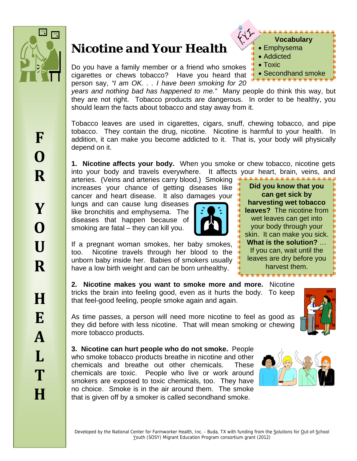

# *Nicotine and Your Health*

Do you have a family member or a friend who smokes cigarettes or chews tobacco? Have you heard that person say, *"I am OK. . . I have been smoking for 20* 

*years and nothing bad has happened to me."* Many people do think this way, but they are not right. Tobacco products are dangerous. In order to be healthy, you should learn the facts about tobacco and stay away from it.

Tobacco leaves are used in cigarettes, cigars, snuff, chewing tobacco, and pipe tobacco. They contain the drug, nicotine. Nicotine is harmful to your health. In addition, it can make you become addicted to it. That is, your body will physically depend on it.

**1. Nicotine affects your body.** When you smoke or chew tobacco, nicotine gets into your body and travels everywhere. It affects your heart, brain, veins, and

arteries. (Veins and arteries carry blood.) Smoking increases your chance of getting diseases like cancer and heart disease. It also damages your

lungs and can cause lung diseases like bronchitis and emphysema. The diseases that happen because of smoking are fatal – they can kill you.



If a pregnant woman smokes, her baby smokes, too. Nicotine travels through her blood to the unborn baby inside her. Babies of smokers usually have a low birth weight and can be born unhealthy.



**Vocabulary** 

• Secondhand smoke

• Emphysema Addicted • Toxic

**2. Nicotine makes you want to smoke more and more.** Nicotine tricks the brain into feeling good, even as it hurts the body. To keep that feel-good feeling, people smoke again and again.

As time passes, a person will need more nicotine to feel as good as they did before with less nicotine. That will mean smoking or chewing more tobacco products.

**3. Nicotine can hurt people who do not smoke.** People who smoke tobacco products breathe in nicotine and other chemicals and breathe out other chemicals. These chemicals are toxic. People who live or work around smokers are exposed to toxic chemicals, too. They have no choice. Smoke is in the air around them. The smoke that is given off by a smoker is called secondhand smoke.



Youth (SOSY) Migrant Education Program consortium grant (2012)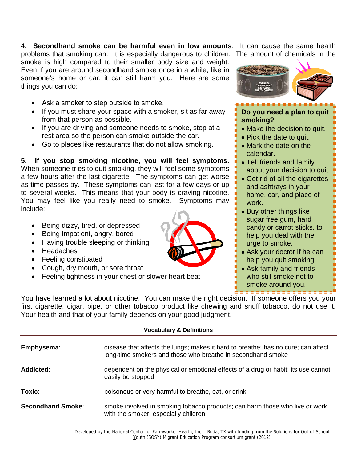**4. Secondhand smoke can be harmful even in low amounts**. It can cause the same health

problems that smoking can. It is especially dangerous to children. The amount of chemicals in the smoke is high compared to their smaller body size and weight. Even if you are around secondhand smoke once in a while, like in someone's home or car, it can still harm you. Here are some things you can do:

- Ask a smoker to step outside to smoke.
- If you must share your space with a smoker, sit as far away from that person as possible.
- If you are driving and someone needs to smoke, stop at a rest area so the person can smoke outside the car.
- Go to places like restaurants that do not allow smoking.

**5. If you stop smoking nicotine, you will feel symptoms.** When someone tries to quit smoking, they will feel some symptoms a few hours after the last cigarette. The symptoms can get worse as time passes by. These symptoms can last for a few days or up to several weeks. This means that your body is craving nicotine. You may feel like you really need to smoke. Symptoms may include:

- Being dizzy, tired, or depressed
- Being Impatient, angry, bored
- Having trouble sleeping or thinking
- Headaches
- Feeling constipated
- Cough, dry mouth, or sore throat
- Feeling tightness in your chest or slower heart beat



smoke around you.

You have learned a lot about nicotine. You can make the right decision. If someone offers you your first cigarette, cigar, pipe, or other tobacco product like chewing and snuff tobacco, do not use it. Your health and that of your family depends on your good judgment.

## **Vocabulary & Definitions**

| Emphysema:               | disease that affects the lungs; makes it hard to breathe; has no cure; can affect<br>long-time smokers and those who breathe in secondhand smoke |
|--------------------------|--------------------------------------------------------------------------------------------------------------------------------------------------|
| Addicted:                | dependent on the physical or emotional effects of a drug or habit; its use cannot<br>easily be stopped                                           |
| Toxic:                   | poisonous or very harmful to breathe, eat, or drink                                                                                              |
| <b>Secondhand Smoke:</b> | smoke involved in smoking tobacco products; can harm those who live or work<br>with the smoker, especially children                              |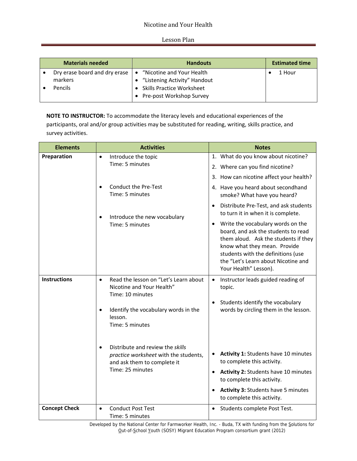# Nicotine and Your Health

#### Lesson Plan

|                    | <b>Materials needed</b>       | <b>Handouts</b>                                                                                                                     | <b>Estimated time</b> |
|--------------------|-------------------------------|-------------------------------------------------------------------------------------------------------------------------------------|-----------------------|
| markers<br>Pencils | Dry erase board and dry erase | "Nicotine and Your Health<br>$\bullet$<br>"Listening Activity" Handout<br>• Skills Practice Worksheet<br>• Pre-post Workshop Survey | 1 Hour                |

**NOTE TO INSTRUCTOR:** To accommodate the literacy levels and educational experiences of the participants, oral and/or group activities may be substituted for reading, writing, skills practice, and survey activities.

| <b>Elements</b>      | <b>Activities</b>                                                                                                                                                                                                                                                                                               | <b>Notes</b>                                                                                                                                                                                                                                                                                                                                                                                                            |  |
|----------------------|-----------------------------------------------------------------------------------------------------------------------------------------------------------------------------------------------------------------------------------------------------------------------------------------------------------------|-------------------------------------------------------------------------------------------------------------------------------------------------------------------------------------------------------------------------------------------------------------------------------------------------------------------------------------------------------------------------------------------------------------------------|--|
| Preparation          | Introduce the topic<br>$\bullet$<br>Time: 5 minutes                                                                                                                                                                                                                                                             | 1. What do you know about nicotine?<br>2. Where can you find nicotine?<br>3. How can nicotine affect your health?                                                                                                                                                                                                                                                                                                       |  |
|                      | <b>Conduct the Pre-Test</b><br>$\bullet$<br>Time: 5 minutes<br>Introduce the new vocabulary<br>$\bullet$<br>Time: 5 minutes                                                                                                                                                                                     | 4. Have you heard about secondhand<br>smoke? What have you heard?<br>Distribute Pre-Test, and ask students<br>to turn it in when it is complete.<br>Write the vocabulary words on the<br>$\bullet$<br>board, and ask the students to read<br>them aloud. Ask the students if they<br>know what they mean. Provide<br>students with the definitions (use<br>the "Let's Learn about Nicotine and<br>Your Health" Lesson). |  |
| <b>Instructions</b>  | Read the lesson on "Let's Learn about<br>$\bullet$<br>Nicotine and Your Health"<br>Time: 10 minutes<br>Identify the vocabulary words in the<br>$\bullet$<br>lesson.<br>Time: 5 minutes<br>Distribute and review the skills<br>$\bullet$<br>practice worksheet with the students,<br>and ask them to complete it | Instructor leads guided reading of<br>$\bullet$<br>topic.<br>Students identify the vocabulary<br>words by circling them in the lesson.<br>Activity 1: Students have 10 minutes<br>to complete this activity.                                                                                                                                                                                                            |  |
|                      | Time: 25 minutes                                                                                                                                                                                                                                                                                                | Activity 2: Students have 10 minutes<br>$\bullet$<br>to complete this activity.<br><b>Activity 3: Students have 5 minutes</b><br>to complete this activity.                                                                                                                                                                                                                                                             |  |
| <b>Concept Check</b> | <b>Conduct Post Test</b><br>$\bullet$<br>Time: 5 minutes                                                                                                                                                                                                                                                        | Students complete Post Test.<br>$\bullet$                                                                                                                                                                                                                                                                                                                                                                               |  |

Developed by the National Center for Farmworker Health, Inc. - Buda, TX with funding from the Solutions for Out-of-School Youth (SOSY) Migrant Education Program consortium grant (2012)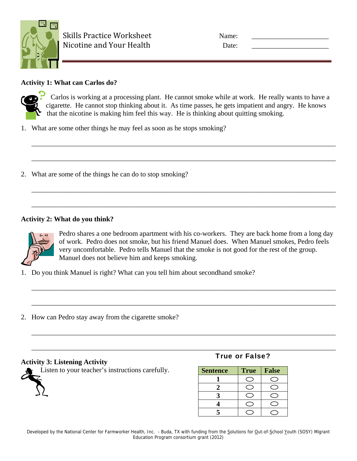

| ime:  |  |
|-------|--|
| )ate: |  |

# **Activity 1: What can Carlos do?**



Carlos is working at a processing plant. He cannot smoke while at work. He really wants to have a cigarette. He cannot stop thinking about it. As time passes, he gets impatient and angry. He knows that the nicotine is making him feel this way. He is thinking about quitting smoking.

\_\_\_\_\_\_\_\_\_\_\_\_\_\_\_\_\_\_\_\_\_\_\_\_\_\_\_\_\_\_\_\_\_\_\_\_\_\_\_\_\_\_\_\_\_\_\_\_\_\_\_\_\_\_\_\_\_\_\_\_\_\_\_\_\_\_\_\_\_\_\_\_\_\_\_\_\_\_\_\_\_\_\_\_\_\_\_

\_\_\_\_\_\_\_\_\_\_\_\_\_\_\_\_\_\_\_\_\_\_\_\_\_\_\_\_\_\_\_\_\_\_\_\_\_\_\_\_\_\_\_\_\_\_\_\_\_\_\_\_\_\_\_\_\_\_\_\_\_\_\_\_\_\_\_\_\_\_\_\_\_\_\_\_\_\_\_\_\_\_\_\_\_\_\_

\_\_\_\_\_\_\_\_\_\_\_\_\_\_\_\_\_\_\_\_\_\_\_\_\_\_\_\_\_\_\_\_\_\_\_\_\_\_\_\_\_\_\_\_\_\_\_\_\_\_\_\_\_\_\_\_\_\_\_\_\_\_\_\_\_\_\_\_\_\_\_\_\_\_\_\_\_\_\_\_\_\_\_\_\_\_\_

\_\_\_\_\_\_\_\_\_\_\_\_\_\_\_\_\_\_\_\_\_\_\_\_\_\_\_\_\_\_\_\_\_\_\_\_\_\_\_\_\_\_\_\_\_\_\_\_\_\_\_\_\_\_\_\_\_\_\_\_\_\_\_\_\_\_\_\_\_\_\_\_\_\_\_\_\_\_\_\_\_\_\_\_\_\_\_

\_\_\_\_\_\_\_\_\_\_\_\_\_\_\_\_\_\_\_\_\_\_\_\_\_\_\_\_\_\_\_\_\_\_\_\_\_\_\_\_\_\_\_\_\_\_\_\_\_\_\_\_\_\_\_\_\_\_\_\_\_\_\_\_\_\_\_\_\_\_\_\_\_\_\_\_\_\_\_\_\_\_\_\_\_\_\_

\_\_\_\_\_\_\_\_\_\_\_\_\_\_\_\_\_\_\_\_\_\_\_\_\_\_\_\_\_\_\_\_\_\_\_\_\_\_\_\_\_\_\_\_\_\_\_\_\_\_\_\_\_\_\_\_\_\_\_\_\_\_\_\_\_\_\_\_\_\_\_\_\_\_\_\_\_\_\_\_\_\_\_\_\_\_\_

\_\_\_\_\_\_\_\_\_\_\_\_\_\_\_\_\_\_\_\_\_\_\_\_\_\_\_\_\_\_\_\_\_\_\_\_\_\_\_\_\_\_\_\_\_\_\_\_\_\_\_\_\_\_\_\_\_\_\_\_\_\_\_\_\_\_\_\_\_\_\_\_\_\_\_\_\_\_\_\_\_\_\_\_\_\_\_

\_\_\_\_\_\_\_\_\_\_\_\_\_\_\_\_\_\_\_\_\_\_\_\_\_\_\_\_\_\_\_\_\_\_\_\_\_\_\_\_\_\_\_\_\_\_\_\_\_\_\_\_\_\_\_\_\_\_\_\_\_\_\_\_\_\_\_\_\_\_\_\_\_\_\_\_\_\_\_\_\_\_\_\_\_\_\_

- 1. What are some other things he may feel as soon as he stops smoking?
- 2. What are some of the things he can do to stop smoking?

# **Activity 2: What do you think?**



Pedro shares a one bedroom apartment with his co-workers. They are back home from a long day of work. Pedro does not smoke, but his friend Manuel does. When Manuel smokes, Pedro feels very uncomfortable. Pedro tells Manuel that the smoke is not good for the rest of the group. Manuel does not believe him and keeps smoking.

- 1. Do you think Manuel is right? What can you tell him about secondhand smoke?
- 2. How can Pedro stay away from the cigarette smoke?

## **Activity 3: Listening Activity**

Listen to your teacher's instructions carefully.

## True or False?

| <b>Sentence</b> | <b>True</b> | <b>False</b> |
|-----------------|-------------|--------------|
|                 |             |              |
|                 |             |              |
|                 |             |              |
|                 |             |              |
|                 |             |              |

Developed by the National Center for Farmworker Health, Inc. - Buda, TX with funding from the Solutions for Out-of-School Youth (SOSY) Migrant Education Program consortium grant (2012)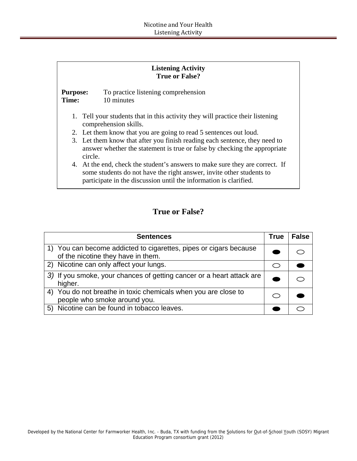| <b>Listening Activity</b><br><b>True or False?</b>                                                      |                                                                                                                                                                                                                           |  |  |  |
|---------------------------------------------------------------------------------------------------------|---------------------------------------------------------------------------------------------------------------------------------------------------------------------------------------------------------------------------|--|--|--|
| <b>Purpose:</b><br>Time:                                                                                | To practice listening comprehension<br>10 minutes                                                                                                                                                                         |  |  |  |
| 1. Tell your students that in this activity they will practice their listening<br>comprehension skills. |                                                                                                                                                                                                                           |  |  |  |
| 2. Let them know that you are going to read 5 sentences out loud.                                       |                                                                                                                                                                                                                           |  |  |  |
|                                                                                                         | 3. Let them know that after you finish reading each sentence, they need to<br>answer whether the statement is true or false by checking the appropriate<br>circle.                                                        |  |  |  |
|                                                                                                         | 4. At the end, check the student's answers to make sure they are correct. If<br>some students do not have the right answer, invite other students to<br>participate in the discussion until the information is clarified. |  |  |  |

# **True or False?**

| <b>Sentences</b>                                                                                        | True      | <b>False</b> |
|---------------------------------------------------------------------------------------------------------|-----------|--------------|
| 1) You can become addicted to cigarettes, pipes or cigars because<br>of the nicotine they have in them. |           |              |
| 2) Nicotine can only affect your lungs.                                                                 | $\subset$ |              |
| 3) If you smoke, your chances of getting cancer or a heart attack are<br>higher.                        |           |              |
| You do not breathe in toxic chemicals when you are close to<br>4)<br>people who smoke around you.       |           |              |
| 5) Nicotine can be found in tobacco leaves.                                                             |           |              |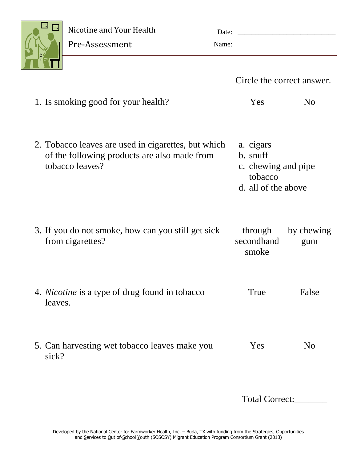

Pre-Assessment

|                                                                                                                        | Circle the correct answer.                                                     |                   |  |
|------------------------------------------------------------------------------------------------------------------------|--------------------------------------------------------------------------------|-------------------|--|
| 1. Is smoking good for your health?                                                                                    | Yes                                                                            | N <sub>0</sub>    |  |
| 2. Tobacco leaves are used in cigarettes, but which<br>of the following products are also made from<br>tobacco leaves? | a. cigars<br>b. snuff<br>c. chewing and pipe<br>tobacco<br>d. all of the above |                   |  |
| 3. If you do not smoke, how can you still get sick<br>from cigarettes?                                                 | through<br>secondhand<br>smoke                                                 | by chewing<br>gum |  |
| 4. <i>Nicotine</i> is a type of drug found in tobacco<br>leaves.                                                       | True                                                                           | False             |  |
| 5. Can harvesting wet tobacco leaves make you<br>sick?                                                                 | Yes                                                                            | N <sub>0</sub>    |  |
|                                                                                                                        | Total Correct:                                                                 |                   |  |